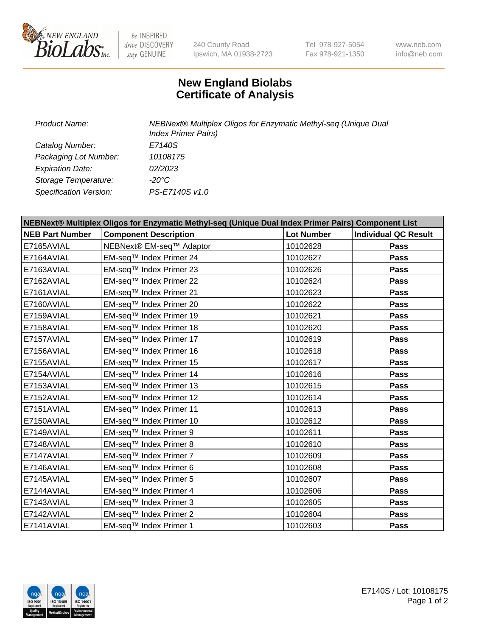

 $be$  INSPIRED drive DISCOVERY stay GENUINE

240 County Road Ipswich, MA 01938-2723 Tel 978-927-5054 Fax 978-921-1350 www.neb.com info@neb.com

## **New England Biolabs Certificate of Analysis**

| Product Name:           | NEBNext® Multiplex Oligos for Enzymatic Methyl-seq (Unique Dual<br><b>Index Primer Pairs)</b> |  |  |
|-------------------------|-----------------------------------------------------------------------------------------------|--|--|
| Catalog Number:         | E7140S                                                                                        |  |  |
| Packaging Lot Number:   | 10108175                                                                                      |  |  |
| <b>Expiration Date:</b> | 02/2023                                                                                       |  |  |
| Storage Temperature:    | -20°C                                                                                         |  |  |
| Specification Version:  | PS-E7140S v1.0                                                                                |  |  |

| NEBNext® Multiplex Oligos for Enzymatic Methyl-seq (Unique Dual Index Primer Pairs) Component List |                              |                   |                             |  |
|----------------------------------------------------------------------------------------------------|------------------------------|-------------------|-----------------------------|--|
| <b>NEB Part Number</b>                                                                             | <b>Component Description</b> | <b>Lot Number</b> | <b>Individual QC Result</b> |  |
| E7165AVIAL                                                                                         | NEBNext® EM-seq™ Adaptor     | 10102628          | Pass                        |  |
| E7164AVIAL                                                                                         | EM-seq™ Index Primer 24      | 10102627          | <b>Pass</b>                 |  |
| E7163AVIAL                                                                                         | EM-seq™ Index Primer 23      | 10102626          | Pass                        |  |
| E7162AVIAL                                                                                         | EM-seq™ Index Primer 22      | 10102624          | <b>Pass</b>                 |  |
| E7161AVIAL                                                                                         | EM-seq™ Index Primer 21      | 10102623          | Pass                        |  |
| E7160AVIAL                                                                                         | EM-seq™ Index Primer 20      | 10102622          | <b>Pass</b>                 |  |
| E7159AVIAL                                                                                         | EM-seq™ Index Primer 19      | 10102621          | <b>Pass</b>                 |  |
| E7158AVIAL                                                                                         | EM-seq™ Index Primer 18      | 10102620          | Pass                        |  |
| E7157AVIAL                                                                                         | EM-seq™ Index Primer 17      | 10102619          | Pass                        |  |
| E7156AVIAL                                                                                         | EM-seq™ Index Primer 16      | 10102618          | <b>Pass</b>                 |  |
| E7155AVIAL                                                                                         | EM-seq™ Index Primer 15      | 10102617          | Pass                        |  |
| E7154AVIAL                                                                                         | EM-seq™ Index Primer 14      | 10102616          | Pass                        |  |
| E7153AVIAL                                                                                         | EM-seq™ Index Primer 13      | 10102615          | <b>Pass</b>                 |  |
| E7152AVIAL                                                                                         | EM-seq™ Index Primer 12      | 10102614          | Pass                        |  |
| E7151AVIAL                                                                                         | EM-seq™ Index Primer 11      | 10102613          | <b>Pass</b>                 |  |
| E7150AVIAL                                                                                         | EM-seq™ Index Primer 10      | 10102612          | <b>Pass</b>                 |  |
| E7149AVIAL                                                                                         | EM-seq™ Index Primer 9       | 10102611          | Pass                        |  |
| E7148AVIAL                                                                                         | EM-seq™ Index Primer 8       | 10102610          | <b>Pass</b>                 |  |
| E7147AVIAL                                                                                         | EM-seq™ Index Primer 7       | 10102609          | <b>Pass</b>                 |  |
| E7146AVIAL                                                                                         | EM-seq™ Index Primer 6       | 10102608          | <b>Pass</b>                 |  |
| E7145AVIAL                                                                                         | EM-seq™ Index Primer 5       | 10102607          | <b>Pass</b>                 |  |
| E7144AVIAL                                                                                         | EM-seq™ Index Primer 4       | 10102606          | Pass                        |  |
| E7143AVIAL                                                                                         | EM-seq™ Index Primer 3       | 10102605          | Pass                        |  |
| E7142AVIAL                                                                                         | EM-seq™ Index Primer 2       | 10102604          | <b>Pass</b>                 |  |
| E7141AVIAL                                                                                         | EM-seq™ Index Primer 1       | 10102603          | Pass                        |  |